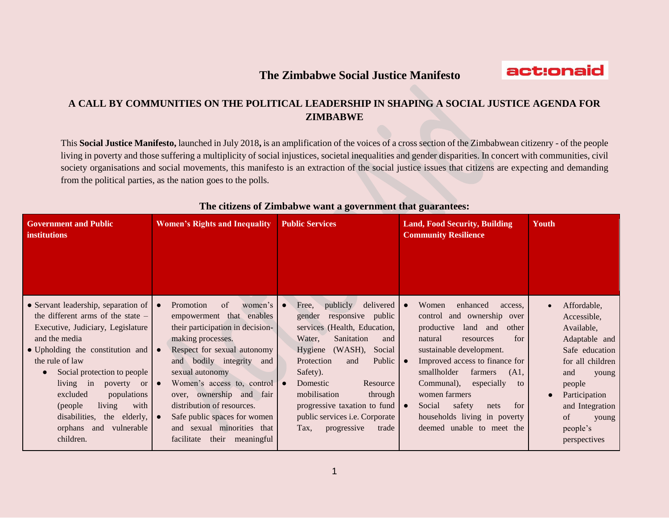## **The Zimbabwe Social Justice Manifesto**



## **A CALL BY COMMUNITIES ON THE POLITICAL LEADERSHIP IN SHAPING A SOCIAL JUSTICE AGENDA FOR ZIMBABWE**

This **Social Justice Manifesto,** launched in July 2018**,** is an amplification of the voices of a cross section of the Zimbabwean citizenry - of the people living in poverty and those suffering a multiplicity of social injustices, societal inequalities and gender disparities. In concert with communities, civil society organisations and social movements, this manifesto is an extraction of the social justice issues that citizens are expecting and demanding from the political parties, as the nation goes to the polls.

| <b>Government and Public</b><br><b>institutions</b>                                                                                                                                                                                                                                                                                                                                                    | <b>Women's Rights and Inequality</b>                                                                                                                                                                                                                                                                                                                                                        | <b>Public Services</b>                                                                                                                                                                                                                                                                                                                                                        | <b>Land, Food Security, Building</b><br><b>Community Resilience</b>                                                                                                                                                                                                                                                                                                                                                    | Youth                                                                                                                                                                                                    |
|--------------------------------------------------------------------------------------------------------------------------------------------------------------------------------------------------------------------------------------------------------------------------------------------------------------------------------------------------------------------------------------------------------|---------------------------------------------------------------------------------------------------------------------------------------------------------------------------------------------------------------------------------------------------------------------------------------------------------------------------------------------------------------------------------------------|-------------------------------------------------------------------------------------------------------------------------------------------------------------------------------------------------------------------------------------------------------------------------------------------------------------------------------------------------------------------------------|------------------------------------------------------------------------------------------------------------------------------------------------------------------------------------------------------------------------------------------------------------------------------------------------------------------------------------------------------------------------------------------------------------------------|----------------------------------------------------------------------------------------------------------------------------------------------------------------------------------------------------------|
| • Servant leadership, separation of<br>the different arms of the state $-$<br>Executive, Judiciary, Legislature<br>and the media<br>• Upholding the constitution and<br>the rule of law<br>Social protection to people<br>living in<br>poverty<br><sub>or</sub><br>excluded<br>populations<br>living<br>with<br>(people)<br>disabilities,<br>the elderly,<br>vulnerable<br>orphans<br>and<br>children. | Promotion<br>of<br>women's<br>empowerment that enables<br>their participation in decision-<br>making processes.<br>Respect for sexual autonomy<br>and bodily integrity<br>and<br>sexual autonomy<br>Women's access to, control<br>over, ownership and fair<br>distribution of resources.<br>Safe public spaces for women<br>and sexual minorities that<br>facilitate<br>their<br>meaningful | delivered<br>publicly<br>Free,<br>$\bullet$<br>responsive public<br>gender<br>services (Health, Education,<br>Water,<br>Sanitation<br>and<br>Hygiene (WASH),<br>Social<br>Public<br>Protection<br>and<br>Safety).<br>Domestic<br>Resource<br>mobilisation<br>through<br>progressive taxation to fund<br>public services <i>i.e.</i> Corporate<br>progressive<br>trade<br>Tax. | enhanced<br>Women<br>access,<br>$\bullet$<br>control and ownership over<br>productive<br>land and<br>other<br>for<br>natural<br>resources<br>sustainable development.<br>Improved access to finance for<br>$\bullet$<br>smallholder<br>farmers<br>(A1,<br>Communal),<br>especially<br>to<br>women farmers<br>Social<br>safety<br>for<br>nets<br>$\bullet$<br>households living in poverty<br>deemed unable to meet the | Affordable,<br>Accessible,<br>Available,<br>Adaptable and<br>Safe education<br>for all children<br>and<br>young<br>people<br>Participation<br>and Integration<br>of<br>young<br>people's<br>perspectives |

## **The citizens of Zimbabwe want a government that guarantees:**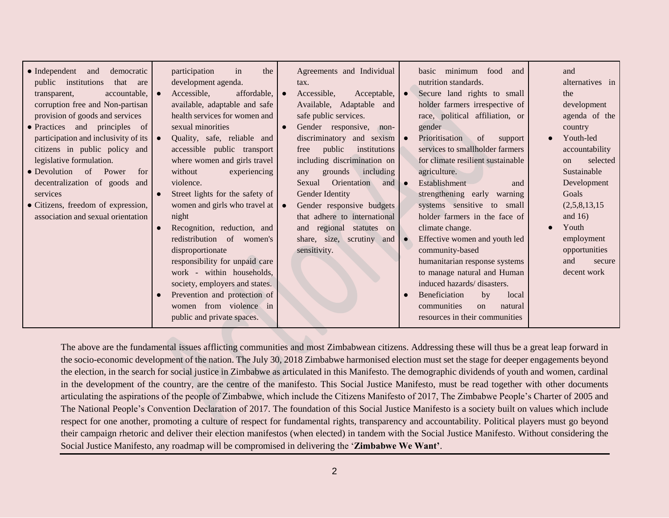The above are the fundamental issues afflicting communities and most Zimbabwean citizens. Addressing these will thus be a great leap forward in the socio-economic development of the nation. The July 30, 2018 Zimbabwe harmonised election must set the stage for deeper engagements beyond the election, in the search for social justice in Zimbabwe as articulated in this Manifesto. The demographic dividends of youth and women, cardinal in the development of the country, are the centre of the manifesto. This Social Justice Manifesto, must be read together with other documents articulating the aspirations of the people of Zimbabwe, which include the Citizens Manifesto of 2017, The Zimbabwe People's Charter of 2005 and The National People's Convention Declaration of 2017. The foundation of this Social Justice Manifesto is a society built on values which include respect for one another, promoting a culture of respect for fundamental rights, transparency and accountability. Political players must go beyond their campaign rhetoric and deliver their election manifestos (when elected) in tandem with the Social Justice Manifesto. Without considering the Social Justice Manifesto, any roadmap will be compromised in delivering the '**Zimbabwe We Want'**.